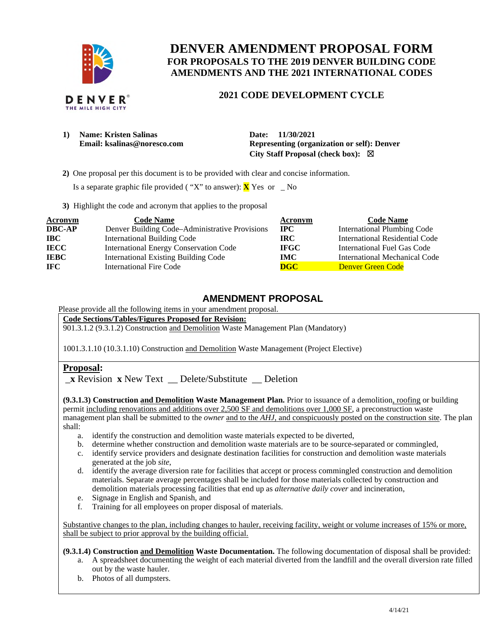

# **DENVER AMENDMENT PROPOSAL FORM FOR PROPOSALS TO THE 2019 DENVER BUILDING CODE AMENDMENTS AND THE 2021 INTERNATIONAL CODES**

# **2021 CODE DEVELOPMENT CYCLE**

| 1) | <b>Name: Kristen Salinas</b> |
|----|------------------------------|
|    | Email: ksalinas@noresco.com  |

Date: 11/30/2021  $Representing (organization or self): Denver$ **City Staff Proposal (check box):** ☒

**2)** One proposal per this document is to be provided with clear and concise information.

Is a separate graphic file provided ( "X" to answer): **X** Yes or \_ No

**3)** Highlight the code and acronym that applies to the proposal

| <b>Acronym</b> | <b>Code Name</b>                               | Acronym     | <b>Code Name</b>                   |
|----------------|------------------------------------------------|-------------|------------------------------------|
| <b>DBC-AP</b>  | Denver Building Code–Administrative Provisions | $\bf{IPC}$  | <b>International Plumbing Code</b> |
| <b>IBC</b>     | <b>International Building Code</b>             | IRC.        | International Residential Code     |
| <b>IECC</b>    | <b>International Energy Conservation Code</b>  | <b>IFGC</b> | International Fuel Gas Code        |
| <b>IEBC</b>    | <b>International Existing Building Code</b>    | <b>IMC</b>  | International Mechanical Code      |
| <b>IFC</b>     | International Fire Code                        | <b>DGC</b>  | Denver Green Code                  |

# **AMENDMENT PROPOSAL**

Please provide all the following items in your amendment proposal.

**Code Sections/Tables/Figures Proposed for Revision:** 

901.3.1.2 (9.3.1.2) Construction and Demolition Waste Management Plan (Mandatory)

1001.3.1.10 (10.3.1.10) Construction and Demolition Waste Management (Project Elective)

# **Proposal:**

\_**x** Revision **x** New Text \_\_ Delete/Substitute \_\_ Deletion

 **(9.3.1.3) Construction and Demolition Waste Management Plan.** Prior to issuance of a demolition, roofing or building permit including renovations and additions over 2,500 SF and demolitions over 1,000 SF, a preconstruction waste management plan shall be submitted to the *owner* and to the *AHJ*, and conspicuously posted on the construction site. The plan shall:

- a. identify the construction and demolition waste materials expected to be diverted,
- b. determine whether construction and demolition waste materials are to be source-separated or commingled,
- c. identify service providers and designate destination facilities for construction and demolition waste materials generated at the job *site*,
- d. identify the average diversion rate for facilities that accept or process commingled construction and demolition materials. Separate average percentages shall be included for those materials collected by construction and demolition materials processing facilities that end up as *alternative daily cover* and incineration,
- e. Signage in English and Spanish, and
- f. Training for all employees on proper disposal of materials.

Substantive changes to the plan, including changes to hauler, receiving facility, weight or volume increases of 15% or more, shall be subject to prior approval by the building official.

 **(9.3.1.4) Construction and Demolition Waste Documentation.** The following documentation of disposal shall be provided: a. A spreadsheet documenting the weight of each material diverted from the landfill and the overall diversion rate filled out by the waste hauler.

b. Photos of all dumpsters.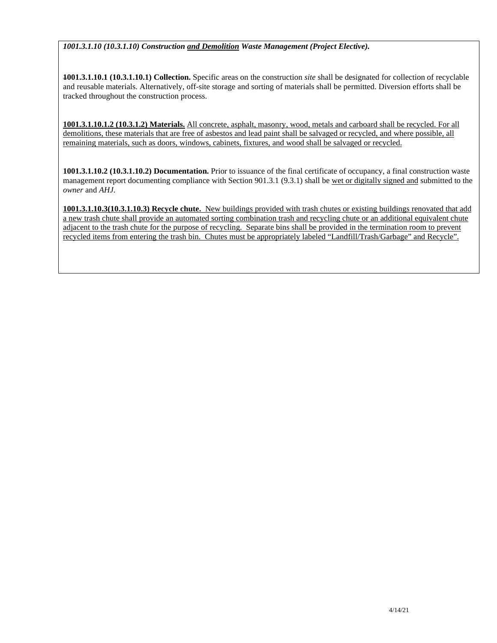# *[1001.3.1.10](https://1001.3.1.10) ([10.3.1.10](https://10.3.1.10)) Construction and Demolition Waste Management (Project Elective).*

 **1001.3.1.10.1 (10.3.1.10.1) Collection.** Specific areas on the construction *site* shall be designated for collection of recyclable and reusable materials. Alternatively, off-site storage and sorting of materials shall be permitted. Diversion efforts shall be tracked throughout the construction process.

 **1001.3.1.10.1.2 (10.3.1.2) Materials.** All concrete, asphalt, masonry, wood, metals and carboard shall be recycled. For all demolitions, these materials that are free of asbestos and lead paint shall be salvaged or recycled, and where possible, all remaining materials, such as doors, windows, cabinets, fixtures, and wood shall be salvaged or recycled.

 **1001.3.1.10.2 (10.3.1.10.2) Documentation.** Prior to issuance of the final certificate of occupancy, a final construction waste management report documenting compliance with Section 901.3.1 (9.3.1) shall be wet or digitally signed and submitted to the  *owner* and *AHJ.* 

**1001.3.1.10.3(10.3.1.10.3) Recycle chute.** New buildings provided with trash chutes or existing buildings renovated that add a new trash chute shall provide an automated sorting combination trash and recycling chute or an additional equivalent chute adjacent to the trash chute for the purpose of recycling. Separate bins shall be provided in the termination room to prevent recycled items from entering the trash bin. Chutes must be appropriately labeled "Landfill/Trash/Garbage" and Recycle".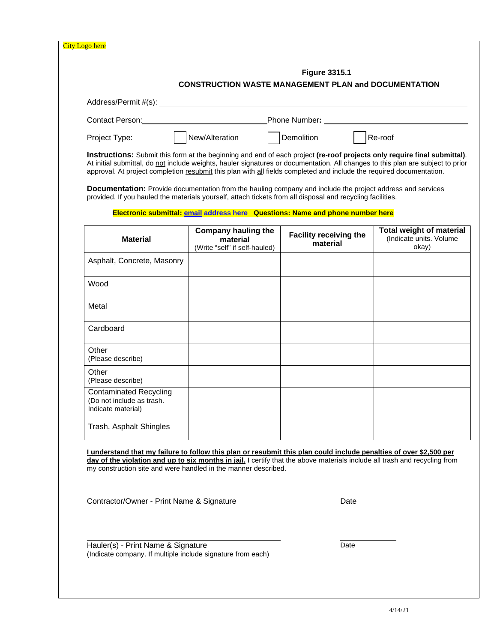|                                                                                                                                                                                                                                                                                                                                                                                     | <b>Figure 3315.1</b><br><b>CONSTRUCTION WASTE MANAGEMENT PLAN and DOCUMENTATION</b>                            |                                           |                                                                     |  |  |
|-------------------------------------------------------------------------------------------------------------------------------------------------------------------------------------------------------------------------------------------------------------------------------------------------------------------------------------------------------------------------------------|----------------------------------------------------------------------------------------------------------------|-------------------------------------------|---------------------------------------------------------------------|--|--|
|                                                                                                                                                                                                                                                                                                                                                                                     |                                                                                                                |                                           |                                                                     |  |  |
|                                                                                                                                                                                                                                                                                                                                                                                     | Contact Person: Number: Number: 2012 2014 19:30 Phone Number: 2014 2015 2016 2017 2018 2019 2014 2016 2017 201 |                                           |                                                                     |  |  |
| Project Type:                                                                                                                                                                                                                                                                                                                                                                       | New/Alteration                                                                                                 | Demolition                                | Re-roof                                                             |  |  |
| Instructions: Submit this form at the beginning and end of each project (re-roof projects only require final submittal).<br>At initial submittal, do not include weights, hauler signatures or documentation. All changes to this plan are subject to prior<br>approval. At project completion resubmit this plan with all fields completed and include the required documentation. |                                                                                                                |                                           |                                                                     |  |  |
| Documentation: Provide documentation from the hauling company and include the project address and services<br>provided. If you hauled the materials yourself, attach tickets from all disposal and recycling facilities.                                                                                                                                                            |                                                                                                                |                                           |                                                                     |  |  |
|                                                                                                                                                                                                                                                                                                                                                                                     | Electronic submittal: email address here Questions: Name and phone number here                                 |                                           |                                                                     |  |  |
| <b>Material</b>                                                                                                                                                                                                                                                                                                                                                                     | <b>Company hauling the</b><br>material<br>(Write "self" if self-hauled)                                        | <b>Facility receiving the</b><br>material | <b>Total weight of material</b><br>(Indicate units. Volume<br>okay) |  |  |
| Asphalt, Concrete, Masonry                                                                                                                                                                                                                                                                                                                                                          |                                                                                                                |                                           |                                                                     |  |  |
| Wood                                                                                                                                                                                                                                                                                                                                                                                |                                                                                                                |                                           |                                                                     |  |  |
| Metal                                                                                                                                                                                                                                                                                                                                                                               |                                                                                                                |                                           |                                                                     |  |  |
| Cardboard                                                                                                                                                                                                                                                                                                                                                                           |                                                                                                                |                                           |                                                                     |  |  |
| Other<br>(Please describe)                                                                                                                                                                                                                                                                                                                                                          |                                                                                                                |                                           |                                                                     |  |  |
| Other<br>(Please describe)                                                                                                                                                                                                                                                                                                                                                          |                                                                                                                |                                           |                                                                     |  |  |
| <b>Contaminated Recycling</b><br>(Do not include as trash.<br>Indicate material)                                                                                                                                                                                                                                                                                                    |                                                                                                                |                                           |                                                                     |  |  |
| Trash, Asphalt Shingles                                                                                                                                                                                                                                                                                                                                                             |                                                                                                                |                                           |                                                                     |  |  |
|                                                                                                                                                                                                                                                                                                                                                                                     |                                                                                                                |                                           |                                                                     |  |  |
| <u>I understand that my failure to follow this plan or resubmit this plan could include penalties of over \$2,500 per</u><br>day of the violation and up to six months in iail. I certify that the above materials include all trash and recycling from<br>my construction site and were handled in the manner described.                                                           |                                                                                                                |                                           |                                                                     |  |  |
| Contractor/Owner - Print Name & Signature                                                                                                                                                                                                                                                                                                                                           |                                                                                                                | Date                                      |                                                                     |  |  |
| Hauler(s) - Print Name & Signature<br>(Indicate company. If multiple include signature from each)                                                                                                                                                                                                                                                                                   |                                                                                                                | Date                                      |                                                                     |  |  |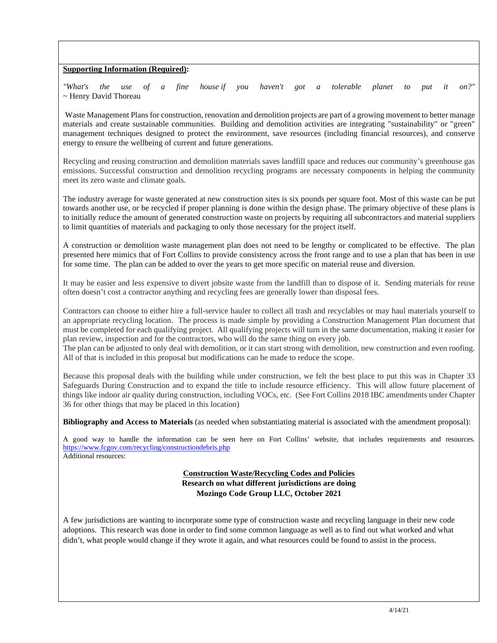### **Supporting Information (Required):**

*the* use ~ Henry David Thoreau *"What's the use of a fine house if you haven't got a tolerable planet to put it on?"* 

 Waste Management Plans for construction, renovation and demolition projects are part of a growing movement to better manage materials and create sustainable communities. Building and demolition activities are integrating "sustainability" or "green" management techniques designed to protect the environment, save resources (including financial resources), and conserve energy to ensure the wellbeing of current and future generations.

 Recycling and reusing construction and demolition materials saves landfill space and reduces our community's greenhouse gas emissions. Successful construction and demolition recycling programs are necessary components in helping the community meet its zero waste and climate goals.

 The industry average for waste generated at new construction sites is six pounds per square foot. Most of this waste can be put towards another use, or be recycled if proper planning is done within the design phase. The primary objective of these plans is to initially reduce the amount of generated construction waste on projects by requiring all subcontractors and material suppliers to limit quantities of materials and packaging to only those necessary for the project itself.

 A construction or demolition waste management plan does not need to be lengthy or complicated to be effective. The plan presented here mimics that of Fort Collins to provide consistency across the front range and to use a plan that has been in use for some time. The plan can be added to over the years to get more specific on material reuse and diversion.

 It may be easier and less expensive to divert jobsite waste from the landfill than to dispose of it. Sending materials for reuse often doesn't cost a contractor anything and recycling fees are generally lower than disposal fees.

 Contractors can choose to either hire a full-service hauler to collect all trash and recyclables or may haul materials yourself to an appropriate recycling location. The process is made simple by providing a Construction Management Plan document that must be completed for each qualifying project. All qualifying projects will turn in the same documentation, making it easier for plan review, inspection and for the contractors, who will do the same thing on every job.

 The plan can be adjusted to only deal with demolition, or it can start strong with demolition, new construction and even roofing. All of that is included in this proposal but modifications can be made to reduce the scope.

 Because this proposal deals with the building while under construction, we felt the best place to put this was in Chapter 33 Safeguards During Construction and to expand the title to include resource efficiency. This will allow future placement of things like indoor air quality during construction, including VOCs, etc. (See Fort Collins 2018 IBC amendments under Chapter 36 for other things that may be placed in this location)

 **Bibliography and Access to Materials** (as needed when substantiating material is associated with the amendment proposal):

 A good way to handle the information can be seen here on Fort Collins' website, that includes requirements and resources. Additional resources: <https://www.fcgov.com/recycling/constructiondebris.php>

# **Construction Waste/Recycling Codes and Policies Research on what different jurisdictions are doing Mozingo Code Group LLC, October 2021**

 A few jurisdictions are wanting to incorporate some type of construction waste and recycling language in their new code adoptions. This research was done in order to find some common language as well as to find out what worked and what didn't, what people would change if they wrote it again, and what resources could be found to assist in the process.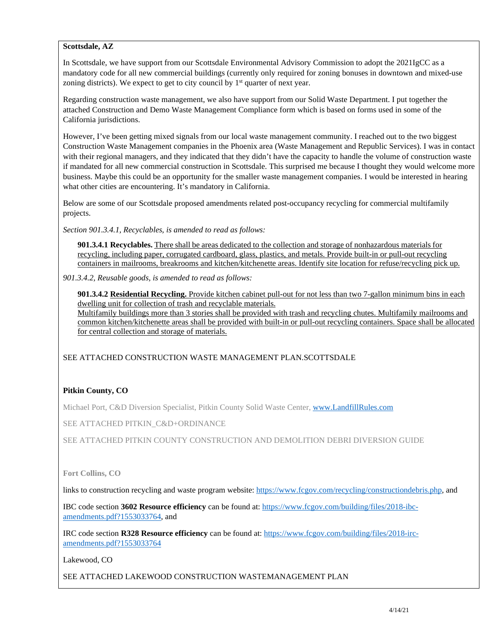#### **Scottsdale, AZ**

 In Scottsdale, we have support from our Scottsdale Environmental Advisory Commission to adopt the 2021IgCC as a mandatory code for all new commercial buildings (currently only required for zoning bonuses in downtown and mixed-use zoning districts). We expect to get to city council by  $1<sup>st</sup>$  quarter of next year.

 Regarding construction waste management, we also have support from our Solid Waste Department. I put together the attached Construction and Demo Waste Management Compliance form which is based on forms used in some of the California jurisdictions.

 However, I've been getting mixed signals from our local waste management community. I reached out to the two biggest Construction Waste Management companies in the Phoenix area (Waste Management and Republic Services). I was in contact with their regional managers, and they indicated that they didn't have the capacity to handle the volume of construction waste if mandated for all new commercial construction in Scottsdale. This surprised me because I thought they would welcome more business. Maybe this could be an opportunity for the smaller waste management companies. I would be interested in hearing what other cities are encountering. It's mandatory in California.

 Below are some of our Scottsdale proposed amendments related post-occupancy recycling for commercial multifamily projects.

 *Section 901.3.4.1, Recyclables, is amended to read as follows:* 

 **901.3.4.1 Recyclables.** There shall be areas dedicated to the collection and storage of nonhazardous materials for recycling, including paper, corrugated cardboard, glass, plastics, and metals. Provide built-in or pull-out recycling containers in mailrooms, breakrooms and kitchen/kitchenette areas. Identify site location for refuse/recycling pick up.

 *901.3.4.2, Reusable goods, is amended to read as follows:* 

 **901.3.4.2 Residential Recycling.** Provide kitchen cabinet pull-out for not less than two 7-gallon minimum bins in each dwelling unit for collection of trash and recyclable materials. Multifamily buildings more than 3 stories shall be provided with trash and recycling chutes. Multifamily mailrooms and common kitchen/kitchenette areas shall be provided with built-in or pull-out recycling containers. Space shall be allocated for central collection and storage of materials.

SEE ATTACHED CONSTRUCTION WASTE MANAGEMENT PLAN.SCOTTSDALE

# **Pitkin County, CO**

Michael Port, C&D Diversion Specialist, Pitkin County Solid Waste Center, www.LandfillRules.com

SEE ATTACHED PITKIN\_C&D+ORDINANCE

SEE ATTACHED PITKIN COUNTY CONSTRUCTION AND DEMOLITION DEBRI DIVERSION GUIDE

#### **Fort Collins, CO**

links to construction recycling and waste program website: [https://www.fcgov.com/recycling/constructiondebris.php,](https://www.fcgov.com/recycling/constructiondebris.php) and

 IBC code section **3602 Resource efficiency** can be found at:<https://www.fcgov.com/building/files/2018-ibc>amendments.pdf?1553033764, and

 IRC code section **R328 Resource efficiency** can be found at:<https://www.fcgov.com/building/files/2018-irc>amendments.pdf?1553033764

Lakewood, CO

SEE ATTACHED LAKEWOOD CONSTRUCTION WASTEMANAGEMENT PLAN